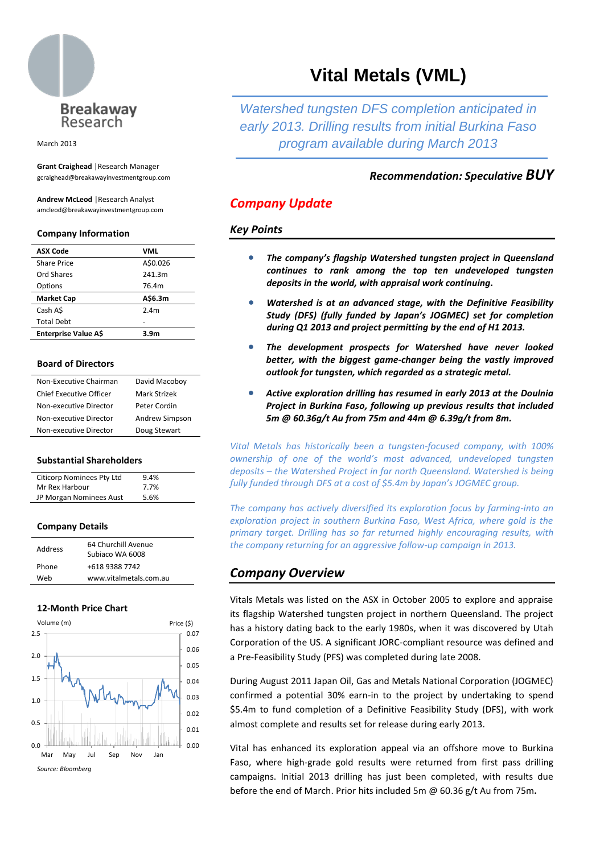

March 2013

**Grant Craighead** |Research Manager gcraighead@breakawayinvestmentgroup.com

**Andrew McLeod** |Research Analyst amcleod@breakawayinvestmentgroup.com

#### **Company Information**

| <b>ASX Code</b>   | VML      |
|-------------------|----------|
| Share Price       | A\$0.026 |
| Ord Shares        | 241.3m   |
| Options           | 76.4m    |
| <b>Market Cap</b> | A\$6.3m  |
| Cash A\$          | 2.4m     |
| <b>Total Debt</b> |          |
|                   |          |

#### **Board of Directors**

| Non-Executive Chairman  | David Macoboy  |
|-------------------------|----------------|
| Chief Executive Officer | Mark Strizek   |
| Non-executive Director  | Peter Cordin   |
| Non-executive Director  | Andrew Simpson |
| Non-executive Director  | Doug Stewart   |

## **Substantial Shareholders**

| Citicorp Nominees Pty Ltd | 9.4% |  |
|---------------------------|------|--|
| Mr Rex Harbour            | 7.7% |  |
| JP Morgan Nominees Aust   | 5.6% |  |

## **Company Details**

| Address | 64 Churchill Avenue<br>Subjaco WA 6008 |
|---------|----------------------------------------|
| Phone   | +618 9388 7742                         |
| Web     | www.vitalmetals.com.au                 |

## **12-Month Price Chart**



# **Vital Metals (VML)**

*Watershed tungsten DFS completion anticipated in early 2013. Drilling results from initial Burkina Faso program available during March 2013*

# *Recommendation: Speculative BUY*

# *Company Update*

## *Key Points*

- *The company's flagship Watershed tungsten project in Queensland continues to rank among the top ten undeveloped tungsten deposits in the world, with appraisal work continuing.*
- *Watershed is at an advanced stage, with the Definitive Feasibility Study (DFS) (fully funded by Japan's JOGMEC) set for completion during Q1 2013 and project permitting by the end of H1 2013.*
- *The development prospects for Watershed have never looked better, with the biggest game-changer being the vastly improved outlook for tungsten, which regarded as a strategic metal.*
- *Active exploration drilling has resumed in early 2013 at the Doulnia Project in Burkina Faso, following up previous results that included 5m @ 60.36g/t Au from 75m and 44m @ 6.39g/t from 8m.*

*Vital Metals has historically been a tungsten-focused company, with 100% ownership of one of the world's most advanced, undeveloped tungsten deposits – the Watershed Project in far north Queensland. Watershed is being fully funded through DFS at a cost of \$5.4m by Japan's JOGMEC group.*

*The company has actively diversified its exploration focus by farming-into an exploration project in southern Burkina Faso, West Africa, where gold is the primary target. Drilling has so far returned highly encouraging results, with the company returning for an aggressive follow-up campaign in 2013.*

# *Company Overview*

Vitals Metals was listed on the ASX in October 2005 to explore and appraise its flagship Watershed tungsten project in northern Queensland. The project has a history dating back to the early 1980s, when it was discovered by Utah Corporation of the US. A significant JORC-compliant resource was defined and a Pre-Feasibility Study (PFS) was completed during late 2008.

During August 2011 Japan Oil, Gas and Metals National Corporation (JOGMEC) confirmed a potential 30% earn-in to the project by undertaking to spend \$5.4m to fund completion of a Definitive Feasibility Study (DFS), with work almost complete and results set for release during early 2013.

Vital has enhanced its exploration appeal via an offshore move to Burkina Faso, where high-grade gold results were returned from first pass drilling campaigns. Initial 2013 drilling has just been completed, with results due before the end of March. Prior hits included 5m @ 60.36 g/t Au from 75m**.**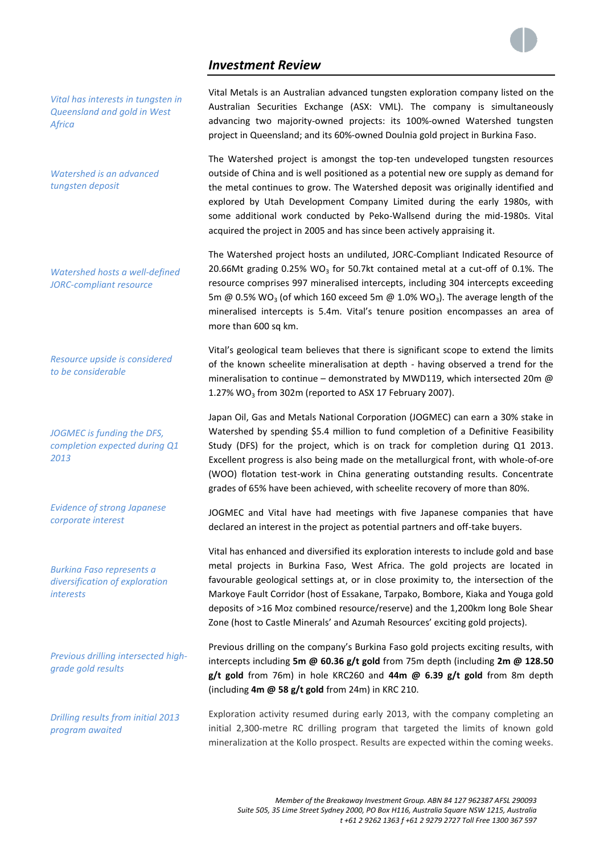# *Investment Review*



*Vital has interests in tungsten in Queensland and gold in West Africa*

*Watershed is an advanced tungsten deposit*

*Watershed hosts a well-defined JORC-compliant resource*

*Resource upside is considered to be considerable*

*JOGMEC is funding the DFS, completion expected during Q1 2013*

*Evidence of strong Japanese corporate interest*

*Burkina Faso represents a diversification of exploration interests*

*Previous drilling intersected highgrade gold results*

*Drilling results from initial 2013 program awaited* 

Vital Metals is an Australian advanced tungsten exploration company listed on the Australian Securities Exchange (ASX: VML). The company is simultaneously advancing two majority-owned projects: its 100%-owned Watershed tungsten project in Queensland; and its 60%-owned Doulnia gold project in Burkina Faso.

The Watershed project is amongst the top-ten undeveloped tungsten resources outside of China and is well positioned as a potential new ore supply as demand for the metal continues to grow. The Watershed deposit was originally identified and explored by Utah Development Company Limited during the early 1980s, with some additional work conducted by Peko-Wallsend during the mid-1980s. Vital acquired the project in 2005 and has since been actively appraising it.

The Watershed project hosts an undiluted, JORC-Compliant Indicated Resource of 20.66Mt grading 0.25% WO<sub>3</sub> for 50.7kt contained metal at a cut-off of 0.1%. The resource comprises 997 mineralised intercepts, including 304 intercepts exceeding 5m @ 0.5% WO<sub>3</sub> (of which 160 exceed 5m @ 1.0% WO<sub>3</sub>). The average length of the mineralised intercepts is 5.4m. Vital's tenure position encompasses an area of more than 600 sq km.

Vital's geological team believes that there is significant scope to extend the limits of the known scheelite mineralisation at depth - having observed a trend for the mineralisation to continue - demonstrated by MWD119, which intersected 20m @ 1.27%  $WO<sub>3</sub>$  from 302m (reported to ASX 17 February 2007).

Japan Oil, Gas and Metals National Corporation (JOGMEC) can earn a 30% stake in Watershed by spending \$5.4 million to fund completion of a Definitive Feasibility Study (DFS) for the project, which is on track for completion during Q1 2013. Excellent progress is also being made on the metallurgical front, with whole-of-ore (WOO) flotation test-work in China generating outstanding results. Concentrate grades of 65% have been achieved, with scheelite recovery of more than 80%.

JOGMEC and Vital have had meetings with five Japanese companies that have declared an interest in the project as potential partners and off-take buyers.

Vital has enhanced and diversified its exploration interests to include gold and base metal projects in Burkina Faso, West Africa. The gold projects are located in favourable geological settings at, or in close proximity to, the intersection of the Markoye Fault Corridor (host of Essakane, Tarpako, Bombore, Kiaka and Youga gold deposits of >16 Moz combined resource/reserve) and the 1,200km long Bole Shear Zone (host to Castle Minerals' and Azumah Resources' exciting gold projects).

Previous drilling on the company's Burkina Faso gold projects exciting results, with intercepts including **5m @ 60.36 g/t gold** from 75m depth (including **2m @ 128.50 g/t gold** from 76m) in hole KRC260 and **44m @ 6.39 g/t gold** from 8m depth (including **4m @ 58 g/t gold** from 24m) in KRC 210.

Exploration activity resumed during early 2013, with the company completing an initial 2,300-metre RC drilling program that targeted the limits of known gold mineralization at the Kollo prospect. Results are expected within the coming weeks.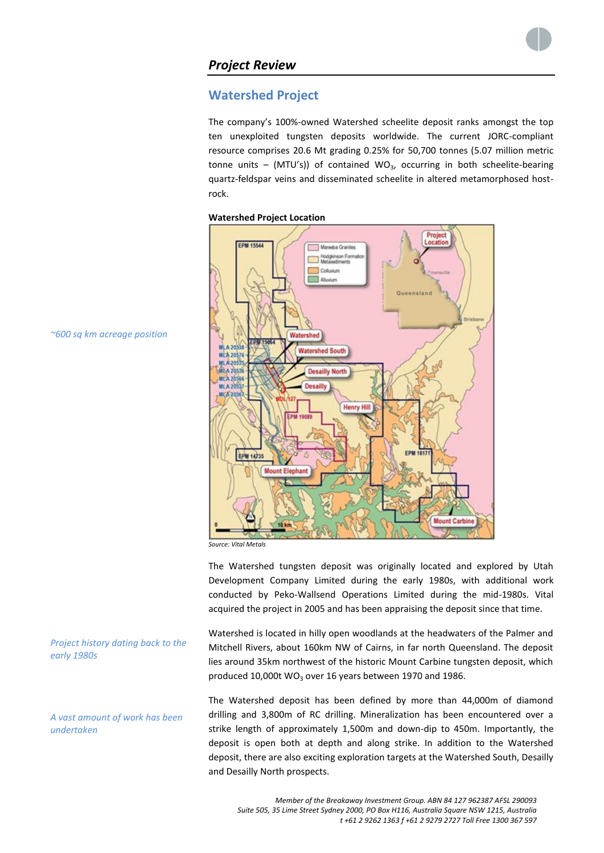

# **Watershed Project**

The company's 100%-owned Watershed scheelite deposit ranks amongst the top ten unexploited tungsten deposits worldwide. The current JORC-compliant resource comprises 20.6 Mt grading 0.25% for 50,700 tonnes (5.07 million metric tonne units – (MTU's)) of contained WO<sub>3</sub>, occurring in both scheelite-bearing quartz-feldspar veins and disseminated scheelite in altered metamorphosed hostrock.





*Source: Vital Metals*

The Watershed tungsten deposit was originally located and explored by Utah Development Company Limited during the early 1980s, with additional work conducted by Peko-Wallsend Operations Limited during the mid-1980s. Vital

produced 10,000t WO<sub>3</sub> over 16 years between 1970 and 1986.

acquired the project in 2005 and has been appraising the deposit since that time. Watershed is located in hilly open woodlands at the headwaters of the Palmer and Mitchell Rivers, about 160km NW of Cairns, in far north Queensland. The deposit lies around 35km northwest of the historic Mount Carbine tungsten deposit, which

The Watershed deposit has been defined by more than 44,000m of diamond drilling and 3,800m of RC drilling. Mineralization has been encountered over a strike length of approximately 1,500m and down-dip to 450m. Importantly, the deposit is open both at depth and along strike. In addition to the Watershed deposit, there are also exciting exploration targets at the Watershed South, Desailly and Desailly North prospects.

*~600 sq km acreage position*

*Project history dating back to the early 1980s*

## *A vast amount of work has been undertaken*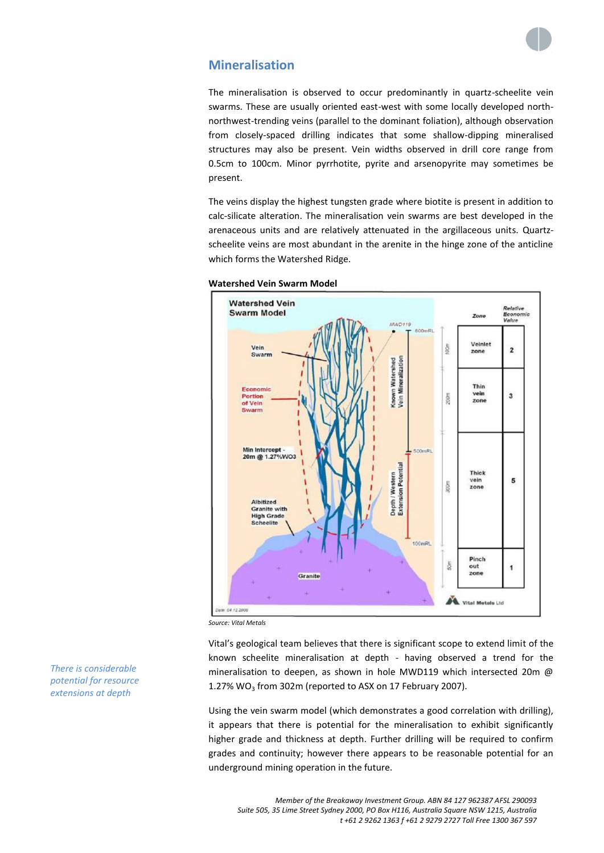

# **Mineralisation**

The mineralisation is observed to occur predominantly in quartz-scheelite vein swarms. These are usually oriented east-west with some locally developed northnorthwest-trending veins (parallel to the dominant foliation), although observation from closely-spaced drilling indicates that some shallow-dipping mineralised structures may also be present. Vein widths observed in drill core range from 0.5cm to 100cm. Minor pyrrhotite, pyrite and arsenopyrite may sometimes be present.

The veins display the highest tungsten grade where biotite is present in addition to calc-silicate alteration. The mineralisation vein swarms are best developed in the arenaceous units and are relatively attenuated in the argillaceous units. Quartzscheelite veins are most abundant in the arenite in the hinge zone of the anticline which forms the Watershed Ridge.



## **Watershed Vein Swarm Model**

*Source: Vital Metals*

Vital's geological team believes that there is significant scope to extend limit of the known scheelite mineralisation at depth - having observed a trend for the mineralisation to deepen, as shown in hole MWD119 which intersected 20m @ 1.27% WO<sub>3</sub> from 302m (reported to ASX on 17 February 2007).

Using the vein swarm model (which demonstrates a good correlation with drilling), it appears that there is potential for the mineralisation to exhibit significantly higher grade and thickness at depth. Further drilling will be required to confirm grades and continuity; however there appears to be reasonable potential for an underground mining operation in the future.

*There is considerable potential for resource extensions at depth*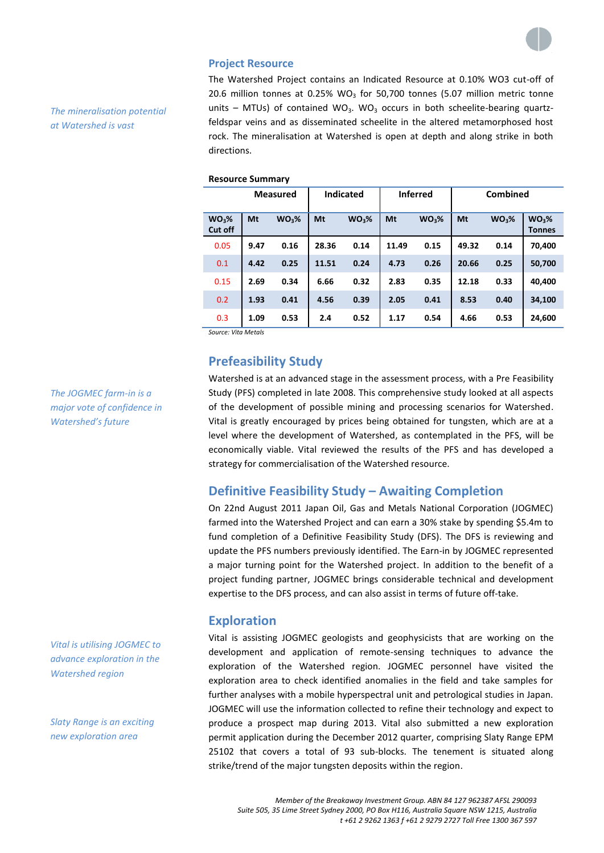

## **Project Resource**

*The mineralisation potential at Watershed is vast* 

The Watershed Project contains an Indicated Resource at 0.10% WO3 cut-off of 20.6 million tonnes at 0.25% WO<sub>3</sub> for 50,700 tonnes (5.07 million metric tonne units – MTUs) of contained WO<sub>3</sub>. WO<sub>3</sub> occurs in both scheelite-bearing quartzfeldspar veins and as disseminated scheelite in the altered metamorphosed host rock. The mineralisation at Watershed is open at depth and along strike in both directions.

## **Resource Summary**

| <b>Measured</b>              |      | <b>Indicated</b>  |       | <b>Inferred</b>   |       | Combined          |       |                   |                                    |
|------------------------------|------|-------------------|-------|-------------------|-------|-------------------|-------|-------------------|------------------------------------|
| WO <sub>3</sub> %<br>Cut off | Mt   | WO <sub>3</sub> % | Mt    | WO <sub>3</sub> % | Mt    | WO <sub>3</sub> % | Mt    | WO <sub>3</sub> % | WO <sub>3</sub> %<br><b>Tonnes</b> |
| 0.05                         | 9.47 | 0.16              | 28.36 | 0.14              | 11.49 | 0.15              | 49.32 | 0.14              | 70,400                             |
| 0.1                          | 4.42 | 0.25              | 11.51 | 0.24              | 4.73  | 0.26              | 20.66 | 0.25              | 50,700                             |
| 0.15                         | 2.69 | 0.34              | 6.66  | 0.32              | 2.83  | 0.35              | 12.18 | 0.33              | 40,400                             |
| 0.2                          | 1.93 | 0.41              | 4.56  | 0.39              | 2.05  | 0.41              | 8.53  | 0.40              | 34,100                             |
| 0.3                          | 1.09 | 0.53              | 2.4   | 0.52              | 1.17  | 0.54              | 4.66  | 0.53              | 24,600                             |

*Source: Vita Metals*

# **Prefeasibility Study**

Watershed is at an advanced stage in the assessment process, with a Pre Feasibility Study (PFS) completed in late 2008. This comprehensive study looked at all aspects of the development of possible mining and processing scenarios for Watershed. Vital is greatly encouraged by prices being obtained for tungsten, which are at a level where the development of Watershed, as contemplated in the PFS, will be economically viable. Vital reviewed the results of the PFS and has developed a strategy for commercialisation of the Watershed resource.

# **Definitive Feasibility Study – Awaiting Completion**

On 22nd August 2011 Japan Oil, Gas and Metals National Corporation (JOGMEC) farmed into the Watershed Project and can earn a 30% stake by spending \$5.4m to fund completion of a Definitive Feasibility Study (DFS). The DFS is reviewing and update the PFS numbers previously identified. The Earn-in by JOGMEC represented a major turning point for the Watershed project. In addition to the benefit of a project funding partner, JOGMEC brings considerable technical and development expertise to the DFS process, and can also assist in terms of future off-take.

# **Exploration**

Vital is assisting JOGMEC geologists and geophysicists that are working on the development and application of remote-sensing techniques to advance the exploration of the Watershed region. JOGMEC personnel have visited the exploration area to check identified anomalies in the field and take samples for further analyses with a mobile hyperspectral unit and petrological studies in Japan. JOGMEC will use the information collected to refine their technology and expect to produce a prospect map during 2013. Vital also submitted a new exploration permit application during the December 2012 quarter, comprising Slaty Range EPM 25102 that covers a total of 93 sub-blocks. The tenement is situated along strike/trend of the major tungsten deposits within the region.

*Member of the Breakaway Investment Group. ABN 84 127 962387 AFSL 290093 Suite 505, 35 Lime Street Sydney 2000, PO Box H116, Australia Square NSW 1215, Australia t +61 2 9262 1363 f +61 2 9279 2727 Toll Free 1300 367 597*

*The JOGMEC farm-in is a major vote of confidence in Watershed's future*

*Vital is utilising JOGMEC to advance exploration in the Watershed region*

*Slaty Range is an exciting new exploration area*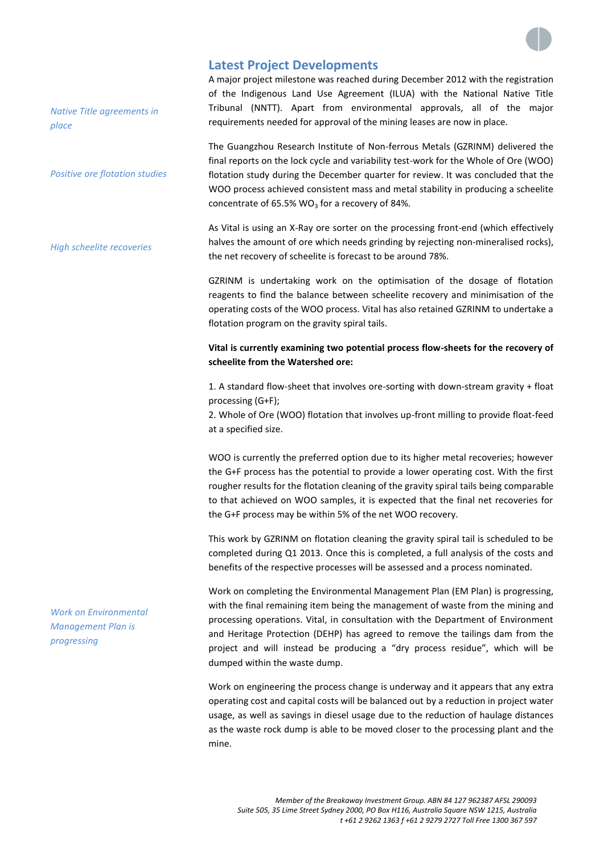

# **Latest Project Developments**

A major project milestone was reached during December 2012 with the registration of the Indigenous Land Use Agreement (ILUA) with the National Native Title Tribunal (NNTT). Apart from environmental approvals, all of the major requirements needed for approval of the mining leases are now in place.

The Guangzhou Research Institute of Non-ferrous Metals (GZRINM) delivered the final reports on the lock cycle and variability test-work for the Whole of Ore (WOO) flotation study during the December quarter for review. It was concluded that the WOO process achieved consistent mass and metal stability in producing a scheelite concentrate of 65.5%  $WO<sub>3</sub>$  for a recovery of 84%.

As Vital is using an X-Ray ore sorter on the processing front-end (which effectively halves the amount of ore which needs grinding by rejecting non-mineralised rocks), the net recovery of scheelite is forecast to be around 78%.

GZRINM is undertaking work on the optimisation of the dosage of flotation reagents to find the balance between scheelite recovery and minimisation of the operating costs of the WOO process. Vital has also retained GZRINM to undertake a flotation program on the gravity spiral tails.

# **Vital is currently examining two potential process flow-sheets for the recovery of scheelite from the Watershed ore:**

1. A standard flow-sheet that involves ore-sorting with down-stream gravity + float processing (G+F);

2. Whole of Ore (WOO) flotation that involves up-front milling to provide float-feed at a specified size.

WOO is currently the preferred option due to its higher metal recoveries; however the G+F process has the potential to provide a lower operating cost. With the first rougher results for the flotation cleaning of the gravity spiral tails being comparable to that achieved on WOO samples, it is expected that the final net recoveries for the G+F process may be within 5% of the net WOO recovery.

This work by GZRINM on flotation cleaning the gravity spiral tail is scheduled to be completed during Q1 2013. Once this is completed, a full analysis of the costs and benefits of the respective processes will be assessed and a process nominated.

Work on completing the Environmental Management Plan (EM Plan) is progressing, with the final remaining item being the management of waste from the mining and processing operations. Vital, in consultation with the Department of Environment and Heritage Protection (DEHP) has agreed to remove the tailings dam from the project and will instead be producing a "dry process residue", which will be dumped within the waste dump.

Work on engineering the process change is underway and it appears that any extra operating cost and capital costs will be balanced out by a reduction in project water usage, as well as savings in diesel usage due to the reduction of haulage distances as the waste rock dump is able to be moved closer to the processing plant and the mine.

*Work on Environmental Management Plan is progressing*

*Native Title agreements in* 

*Positive ore flotation studies*

*High scheelite recoveries*

*place*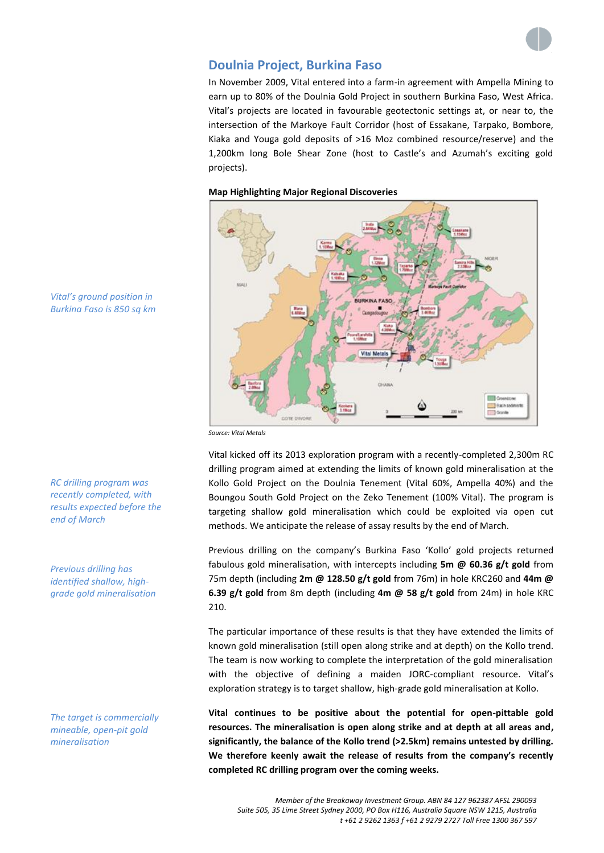

# **Doulnia Project, Burkina Faso**

In November 2009, Vital entered into a farm-in agreement with Ampella Mining to earn up to 80% of the Doulnia Gold Project in southern Burkina Faso, West Africa. Vital's projects are located in favourable geotectonic settings at, or near to, the intersection of the Markoye Fault Corridor (host of Essakane, Tarpako, Bombore, Kiaka and Youga gold deposits of >16 Moz combined resource/reserve) and the 1,200km long Bole Shear Zone (host to Castle's and Azumah's exciting gold projects).

## **Map Highlighting Major Regional Discoveries**



*Vital's ground position in Burkina Faso is 850 sq km*

*RC drilling program was recently completed, with results expected before the* 

*end of March*

*Previous drilling has* 

*Source: Vital Metals*

Vital kicked off its 2013 exploration program with a recently-completed 2,300m RC drilling program aimed at extending the limits of known gold mineralisation at the Kollo Gold Project on the Doulnia Tenement (Vital 60%, Ampella 40%) and the Boungou South Gold Project on the Zeko Tenement (100% Vital). The program is targeting shallow gold mineralisation which could be exploited via open cut methods. We anticipate the release of assay results by the end of March.

Previous drilling on the company's Burkina Faso 'Kollo' gold projects returned fabulous gold mineralisation, with intercepts including **5m @ 60.36 g/t gold** from 75m depth (including **2m @ 128.50 g/t gold** from 76m) in hole KRC260 and **44m @ 6.39 g/t gold** from 8m depth (including **4m @ 58 g/t gold** from 24m) in hole KRC 210.

The particular importance of these results is that they have extended the limits of known gold mineralisation (still open along strike and at depth) on the Kollo trend. The team is now working to complete the interpretation of the gold mineralisation with the objective of defining a maiden JORC-compliant resource. Vital's exploration strategy is to target shallow, high-grade gold mineralisation at Kollo.

**Vital continues to be positive about the potential for open-pittable gold resources. The mineralisation is open along strike and at depth at all areas and, significantly, the balance of the Kollo trend (>2.5km) remains untested by drilling. We therefore keenly await the release of results from the company's recently completed RC drilling program over the coming weeks.**

*identified shallow, highgrade gold mineralisation*

*The target is commercially mineable, open-pit gold mineralisation*